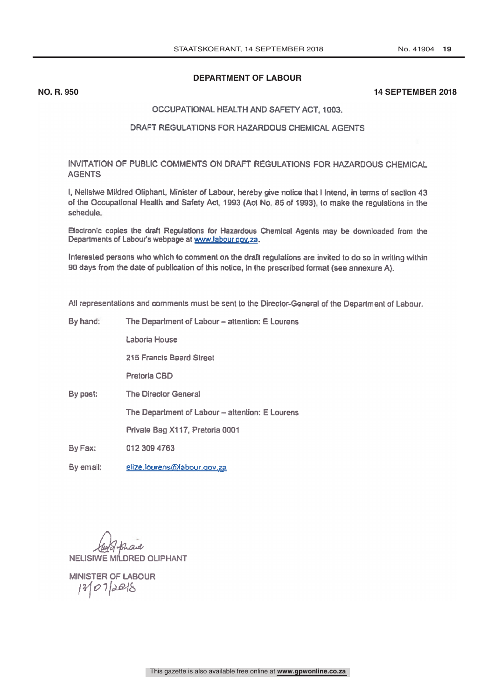# **DEPARTMENT OF LABOUR**

## **NO. R. 950 14 SEPTEMBER 2018**

#### OCCUPATIONAL HEALTH AND SAFETY ACT, 1003.

## DRAFT REGULATIONS FOR HAZARDOUS CHEMICAL AGENTS

INVITATION OF PUBLIC COMMENTS ON DRAFT REGULATIONS FOR HAZARDOUS CHEMICAL AGENTS

I, Nelisiwe Mildred Oliphant, Minister of Labour, hereby give notice that I intend, in terms of section 43 of the Occupational Health and Safety Act, 1993 (Act No. 85 of 1993), to make the regulations in the schedule

Electronic copies the draft Regulations for Hazardous Chemical Agents may be downloaded from the Departments of Labour's webpage at www.labour.gov.za.

Interested persons who which to comment on the draft regulations are invited to do so in writing within 90 days from the date of publication of this notice, in the prescribed format (see annexure A).

All representations and comments must be sent to the Director -General of the Department of Labour.

| By hand:  | The Department of Labour – attention: E Lourens |
|-----------|-------------------------------------------------|
|           | Laboria House                                   |
|           | 215 Francis Baard Street                        |
|           | Pretoria CBD                                    |
| By post:  | <b>The Director General</b>                     |
|           | The Department of Labour - attention: E Lourens |
|           | Private Bag X117, Pretoria 0001                 |
| By Fax:   | 012 309 4763                                    |
| By email: | elize.lourens@labour.gov.za                     |

NELISIWE MILDRED OLIPHANT

**MINISTER OF LABOUR**  $120728$